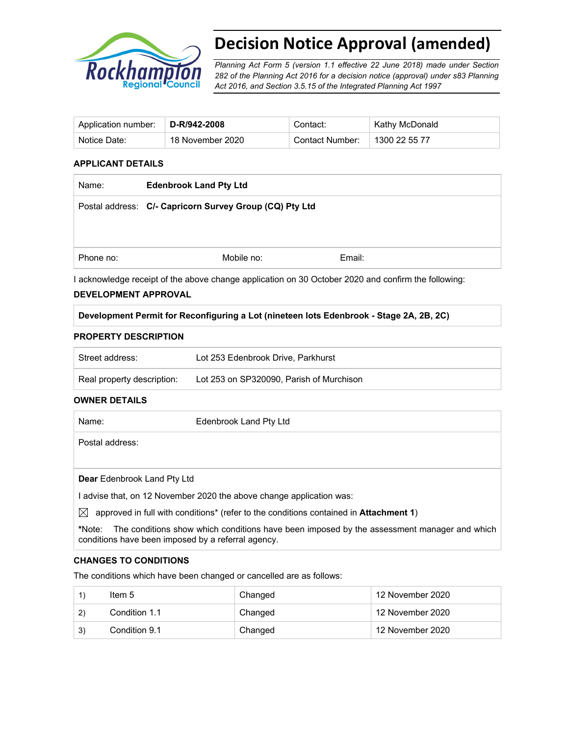

# **Decision Notice Approval (amended)**

*Planning Act Form 5 (version 1.1 effective 22 June 2018) made under Section 282 of the Planning Act 2016 for a decision notice (approval) under s83 Planning Act 2016, and Section 3.5.15 of the Integrated Planning Act 1997*

| ` Application number: | $\mid$ D-R/942-2008 | Contact:        | Kathy McDonald |
|-----------------------|---------------------|-----------------|----------------|
| Notice Date:          | 18 November 2020    | Contact Number: | 1300 22 55 77  |

#### **APPLICANT DETAILS**

| Name:     | <b>Edenbrook Land Pty Ltd</b>                           |        |  |
|-----------|---------------------------------------------------------|--------|--|
|           | Postal address: C/- Capricorn Survey Group (CQ) Pty Ltd |        |  |
|           |                                                         |        |  |
|           |                                                         |        |  |
| Phone no: | Mobile no:                                              | Email: |  |

I acknowledge receipt of the above change application on 30 October 2020 and confirm the following:

#### **DEVELOPMENT APPROVAL**

#### **Development Permit for Reconfiguring a Lot (nineteen lots Edenbrook - Stage 2A, 2B, 2C)**

### **PROPERTY DESCRIPTION**

| Street address:            | Lot 253 Edenbrook Drive, Parkhurst       |
|----------------------------|------------------------------------------|
| Real property description: | Lot 253 on SP320090. Parish of Murchison |

#### **OWNER DETAILS**

| Name:                              | Edenbrook Land Pty Ltd                                                                                    |
|------------------------------------|-----------------------------------------------------------------------------------------------------------|
| Postal address:                    |                                                                                                           |
|                                    |                                                                                                           |
| <b>Dear</b> Edenbrook Land Pty Ltd |                                                                                                           |
|                                    | advise that, on 12 November 2020 the above change application was:                                        |
| $\boxtimes$                        | approved in full with conditions <sup>*</sup> (refer to the conditions contained in <b>Attachment 1</b> ) |
| *Note:                             | The conditions show which conditions have been imposed by the assessment manager and which                |

#### **CHANGES TO CONDITIONS**

The conditions which have been changed or cancelled are as follows:

conditions have been imposed by a referral agency.

|     | Item 5        | Changed | 12 November 2020 |
|-----|---------------|---------|------------------|
| (2) | Condition 1.1 | Changed | 12 November 2020 |
| 3)  | Condition 9.1 | Changed | 12 November 2020 |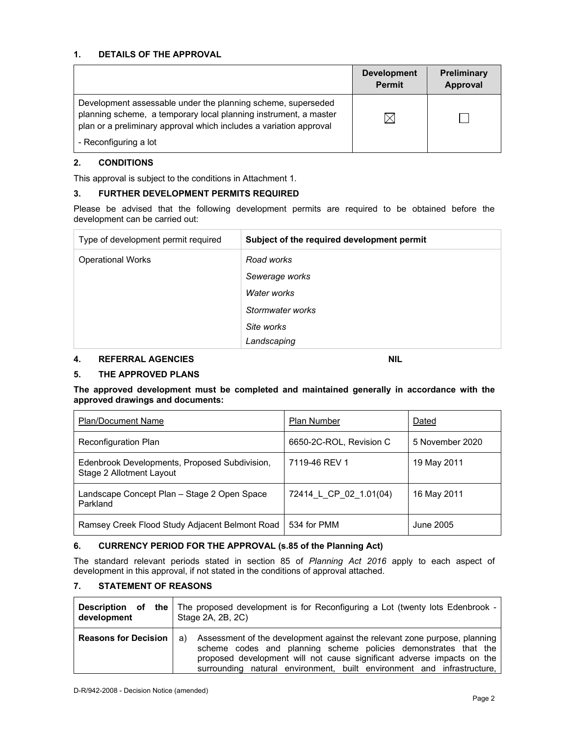#### **1. DETAILS OF THE APPROVAL**

|                                                                                                                                                                                                        | <b>Development</b><br><b>Permit</b> | <b>Preliminary</b><br>Approval |
|--------------------------------------------------------------------------------------------------------------------------------------------------------------------------------------------------------|-------------------------------------|--------------------------------|
| Development assessable under the planning scheme, superseded<br>planning scheme, a temporary local planning instrument, a master<br>plan or a preliminary approval which includes a variation approval |                                     |                                |
| - Reconfiguring a lot                                                                                                                                                                                  |                                     |                                |

# **2. CONDITIONS**

This approval is subject to the conditions in Attachment 1.

### **3. FURTHER DEVELOPMENT PERMITS REQUIRED**

Please be advised that the following development permits are required to be obtained before the development can be carried out:

| Type of development permit required | Subject of the required development permit |
|-------------------------------------|--------------------------------------------|
| <b>Operational Works</b>            | Road works                                 |
|                                     | Sewerage works                             |
|                                     | Water works                                |
|                                     | Stormwater works                           |
|                                     | Site works                                 |
|                                     | Landscaping                                |

# **4. REFERRAL AGENCIES** NIL

### **5. THE APPROVED PLANS**

#### **The approved development must be completed and maintained generally in accordance with the approved drawings and documents:**

| <b>Plan/Document Name</b>                                                 | <b>Plan Number</b>      | Dated           |
|---------------------------------------------------------------------------|-------------------------|-----------------|
| Reconfiguration Plan                                                      | 6650-2C-ROL, Revision C | 5 November 2020 |
| Edenbrook Developments, Proposed Subdivision,<br>Stage 2 Allotment Layout | 7119-46 REV 1           | 19 May 2011     |
| Landscape Concept Plan – Stage 2 Open Space<br>Parkland                   | 72414 L CP 02 1.01(04)  | 16 May 2011     |
| Ramsey Creek Flood Study Adjacent Belmont Road                            | 534 for PMM             | June 2005       |

### **6. CURRENCY PERIOD FOR THE APPROVAL (s.85 of the Planning Act)**

The standard relevant periods stated in section 85 of *Planning Act 2016* apply to each aspect of development in this approval, if not stated in the conditions of approval attached.

# **7. STATEMENT OF REASONS**

| development                 | Description of the   The proposed development is for Reconfiguring a Lot (twenty lots Edenbrook -<br>Stage 2A, 2B, 2C)                                                                                                                                                                              |  |
|-----------------------------|-----------------------------------------------------------------------------------------------------------------------------------------------------------------------------------------------------------------------------------------------------------------------------------------------------|--|
| <b>Reasons for Decision</b> | a) Assessment of the development against the relevant zone purpose, planning<br>scheme codes and planning scheme policies demonstrates that the<br>proposed development will not cause significant adverse impacts on the<br>surrounding natural environment, built environment and infrastructure, |  |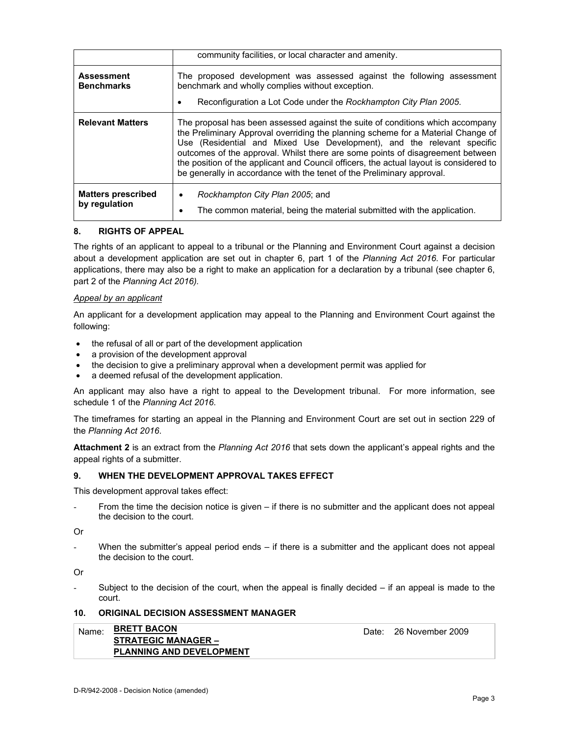|                                            | community facilities, or local character and amenity.                                                                                                                                                                                                                                                                                                                                                                                                                                              |  |
|--------------------------------------------|----------------------------------------------------------------------------------------------------------------------------------------------------------------------------------------------------------------------------------------------------------------------------------------------------------------------------------------------------------------------------------------------------------------------------------------------------------------------------------------------------|--|
| <b>Assessment</b><br><b>Benchmarks</b>     | The proposed development was assessed against the following assessment<br>benchmark and wholly complies without exception.<br>Reconfiguration a Lot Code under the Rockhampton City Plan 2005.                                                                                                                                                                                                                                                                                                     |  |
| <b>Relevant Matters</b>                    | The proposal has been assessed against the suite of conditions which accompany<br>the Preliminary Approval overriding the planning scheme for a Material Change of<br>Use (Residential and Mixed Use Development), and the relevant specific<br>outcomes of the approval. Whilst there are some points of disagreement between<br>the position of the applicant and Council officers, the actual layout is considered to<br>be generally in accordance with the tenet of the Preliminary approval. |  |
| <b>Matters prescribed</b><br>by regulation | Rockhampton City Plan 2005; and<br>٠<br>The common material, being the material submitted with the application.<br>٠                                                                                                                                                                                                                                                                                                                                                                               |  |

### **8. RIGHTS OF APPEAL**

The rights of an applicant to appeal to a tribunal or the Planning and Environment Court against a decision about a development application are set out in chapter 6, part 1 of the *Planning Act 2016*. For particular applications, there may also be a right to make an application for a declaration by a tribunal (see chapter 6, part 2 of the *Planning Act 2016).*

### *Appeal by an applicant*

An applicant for a development application may appeal to the Planning and Environment Court against the following:

- the refusal of all or part of the development application
- a provision of the development approval
- the decision to give a preliminary approval when a development permit was applied for
- a deemed refusal of the development application.

An applicant may also have a right to appeal to the Development tribunal. For more information, see schedule 1 of the *Planning Act 2016*.

The timeframes for starting an appeal in the Planning and Environment Court are set out in section 229 of the *Planning Act 2016*.

**Attachment 2** is an extract from the *Planning Act 2016* that sets down the applicant's appeal rights and the appeal rights of a submitter.

### **9. WHEN THE DEVELOPMENT APPROVAL TAKES EFFECT**

This development approval takes effect:

From the time the decision notice is given – if there is no submitter and the applicant does not appeal the decision to the court.

Or

When the submitter's appeal period ends  $-$  if there is a submitter and the applicant does not appeal the decision to the court.

Or

Subject to the decision of the court, when the appeal is finally decided  $-$  if an appeal is made to the court.

### **10. ORIGINAL DECISION ASSESSMENT MANAGER**

| Name: BRETT BACON               | Date: |
|---------------------------------|-------|
| <b>STRATEGIC MANAGER -</b>      |       |
| <b>PLANNING AND DEVELOPMENT</b> |       |

26 November 2009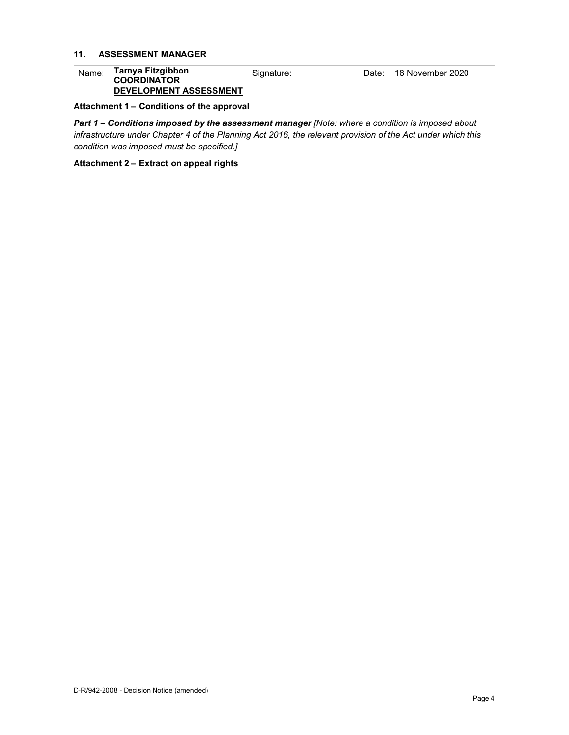# **11. ASSESSMENT MANAGER**

| Name: | Tarnya Fitzgibbon<br><b>COORDINATOR</b> | Signature: | Date: | 18 November 2020 |
|-------|-----------------------------------------|------------|-------|------------------|
|       | <b>DEVELOPMENT ASSESSMENT</b>           |            |       |                  |

# **Attachment 1 – Conditions of the approval**

*Part 1* **–** *Conditions imposed by the assessment manager [Note: where a condition is imposed about infrastructure under Chapter 4 of the Planning Act 2016, the relevant provision of the Act under which this condition was imposed must be specified.]*

**Attachment 2 – Extract on appeal rights**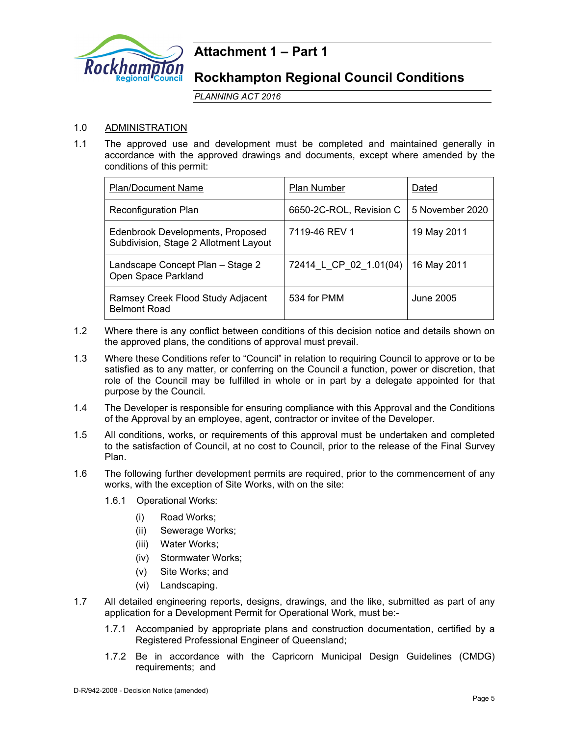

# **Attachment 1 – Part 1**

# **Rockhampton Regional Council Conditions**

*PLANNING ACT 2016*

# 1.0 ADMINISTRATION

1.1 The approved use and development must be completed and maintained generally in accordance with the approved drawings and documents, except where amended by the conditions of this permit:

| <b>Plan/Document Name</b>                                                 | Plan Number             | Dated           |
|---------------------------------------------------------------------------|-------------------------|-----------------|
| <b>Reconfiguration Plan</b>                                               | 6650-2C-ROL, Revision C | 5 November 2020 |
| Edenbrook Developments, Proposed<br>Subdivision, Stage 2 Allotment Layout | 7119-46 REV 1           | 19 May 2011     |
| Landscape Concept Plan - Stage 2<br>Open Space Parkland                   | 72414 L CP 02 1.01(04)  | 16 May 2011     |
| Ramsey Creek Flood Study Adjacent<br><b>Belmont Road</b>                  | 534 for PMM             | June 2005       |

- 1.2 Where there is any conflict between conditions of this decision notice and details shown on the approved plans, the conditions of approval must prevail.
- 1.3 Where these Conditions refer to "Council" in relation to requiring Council to approve or to be satisfied as to any matter, or conferring on the Council a function, power or discretion, that role of the Council may be fulfilled in whole or in part by a delegate appointed for that purpose by the Council.
- 1.4 The Developer is responsible for ensuring compliance with this Approval and the Conditions of the Approval by an employee, agent, contractor or invitee of the Developer.
- 1.5 All conditions, works, or requirements of this approval must be undertaken and completed to the satisfaction of Council, at no cost to Council, prior to the release of the Final Survey Plan.
- 1.6 The following further development permits are required, prior to the commencement of any works, with the exception of Site Works, with on the site:
	- 1.6.1 Operational Works:
		- (i) Road Works;
			- (ii) Sewerage Works;
			- (iii) Water Works;
			- (iv) Stormwater Works;
			- (v) Site Works; and
		- (vi) Landscaping.
- 1.7 All detailed engineering reports, designs, drawings, and the like, submitted as part of any application for a Development Permit for Operational Work, must be:-
	- 1.7.1 Accompanied by appropriate plans and construction documentation, certified by a Registered Professional Engineer of Queensland;
	- 1.7.2 Be in accordance with the Capricorn Municipal Design Guidelines (CMDG) requirements; and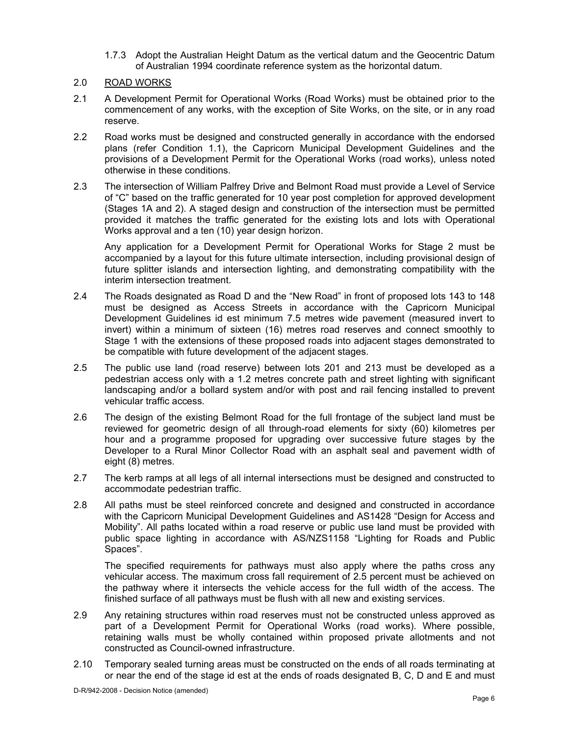1.7.3 Adopt the Australian Height Datum as the vertical datum and the Geocentric Datum of Australian 1994 coordinate reference system as the horizontal datum.

# 2.0 ROAD WORKS

- 2.1 A Development Permit for Operational Works (Road Works) must be obtained prior to the commencement of any works, with the exception of Site Works, on the site, or in any road reserve.
- 2.2 Road works must be designed and constructed generally in accordance with the endorsed plans (refer Condition 1.1), the Capricorn Municipal Development Guidelines and the provisions of a Development Permit for the Operational Works (road works), unless noted otherwise in these conditions.
- 2.3 The intersection of William Palfrey Drive and Belmont Road must provide a Level of Service of "C" based on the traffic generated for 10 year post completion for approved development (Stages 1A and 2). A staged design and construction of the intersection must be permitted provided it matches the traffic generated for the existing lots and lots with Operational Works approval and a ten (10) year design horizon.

Any application for a Development Permit for Operational Works for Stage 2 must be accompanied by a layout for this future ultimate intersection, including provisional design of future splitter islands and intersection lighting, and demonstrating compatibility with the interim intersection treatment.

- 2.4 The Roads designated as Road D and the "New Road" in front of proposed lots 143 to 148 must be designed as Access Streets in accordance with the Capricorn Municipal Development Guidelines id est minimum 7.5 metres wide pavement (measured invert to invert) within a minimum of sixteen (16) metres road reserves and connect smoothly to Stage 1 with the extensions of these proposed roads into adjacent stages demonstrated to be compatible with future development of the adjacent stages.
- 2.5 The public use land (road reserve) between lots 201 and 213 must be developed as a pedestrian access only with a 1.2 metres concrete path and street lighting with significant landscaping and/or a bollard system and/or with post and rail fencing installed to prevent vehicular traffic access.
- 2.6 The design of the existing Belmont Road for the full frontage of the subject land must be reviewed for geometric design of all through-road elements for sixty (60) kilometres per hour and a programme proposed for upgrading over successive future stages by the Developer to a Rural Minor Collector Road with an asphalt seal and pavement width of eight (8) metres.
- 2.7 The kerb ramps at all legs of all internal intersections must be designed and constructed to accommodate pedestrian traffic.
- 2.8 All paths must be steel reinforced concrete and designed and constructed in accordance with the Capricorn Municipal Development Guidelines and AS1428 "Design for Access and Mobility". All paths located within a road reserve or public use land must be provided with public space lighting in accordance with AS/NZS1158 "Lighting for Roads and Public Spaces".

The specified requirements for pathways must also apply where the paths cross any vehicular access. The maximum cross fall requirement of 2.5 percent must be achieved on the pathway where it intersects the vehicle access for the full width of the access. The finished surface of all pathways must be flush with all new and existing services.

- 2.9 Any retaining structures within road reserves must not be constructed unless approved as part of a Development Permit for Operational Works (road works). Where possible, retaining walls must be wholly contained within proposed private allotments and not constructed as Council-owned infrastructure.
- 2.10 Temporary sealed turning areas must be constructed on the ends of all roads terminating at or near the end of the stage id est at the ends of roads designated B, C, D and E and must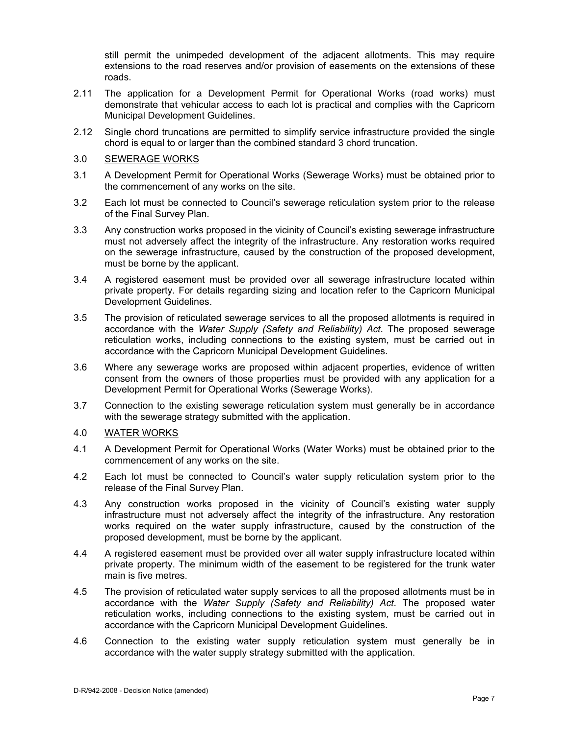still permit the unimpeded development of the adjacent allotments. This may require extensions to the road reserves and/or provision of easements on the extensions of these roads.

- 2.11 The application for a Development Permit for Operational Works (road works) must demonstrate that vehicular access to each lot is practical and complies with the Capricorn Municipal Development Guidelines.
- 2.12 Single chord truncations are permitted to simplify service infrastructure provided the single chord is equal to or larger than the combined standard 3 chord truncation.

#### 3.0 SEWERAGE WORKS

- 3.1 A Development Permit for Operational Works (Sewerage Works) must be obtained prior to the commencement of any works on the site.
- 3.2 Each lot must be connected to Council's sewerage reticulation system prior to the release of the Final Survey Plan.
- 3.3 Any construction works proposed in the vicinity of Council's existing sewerage infrastructure must not adversely affect the integrity of the infrastructure. Any restoration works required on the sewerage infrastructure, caused by the construction of the proposed development, must be borne by the applicant.
- 3.4 A registered easement must be provided over all sewerage infrastructure located within private property. For details regarding sizing and location refer to the Capricorn Municipal Development Guidelines.
- 3.5 The provision of reticulated sewerage services to all the proposed allotments is required in accordance with the *Water Supply (Safety and Reliability) Act*. The proposed sewerage reticulation works, including connections to the existing system, must be carried out in accordance with the Capricorn Municipal Development Guidelines.
- 3.6 Where any sewerage works are proposed within adjacent properties, evidence of written consent from the owners of those properties must be provided with any application for a Development Permit for Operational Works (Sewerage Works).
- 3.7 Connection to the existing sewerage reticulation system must generally be in accordance with the sewerage strategy submitted with the application.

#### 4.0 WATER WORKS

- 4.1 A Development Permit for Operational Works (Water Works) must be obtained prior to the commencement of any works on the site.
- 4.2 Each lot must be connected to Council's water supply reticulation system prior to the release of the Final Survey Plan.
- 4.3 Any construction works proposed in the vicinity of Council's existing water supply infrastructure must not adversely affect the integrity of the infrastructure. Any restoration works required on the water supply infrastructure, caused by the construction of the proposed development, must be borne by the applicant.
- 4.4 A registered easement must be provided over all water supply infrastructure located within private property. The minimum width of the easement to be registered for the trunk water main is five metres.
- 4.5 The provision of reticulated water supply services to all the proposed allotments must be in accordance with the *Water Supply (Safety and Reliability) Act*. The proposed water reticulation works, including connections to the existing system, must be carried out in accordance with the Capricorn Municipal Development Guidelines.
- 4.6 Connection to the existing water supply reticulation system must generally be in accordance with the water supply strategy submitted with the application.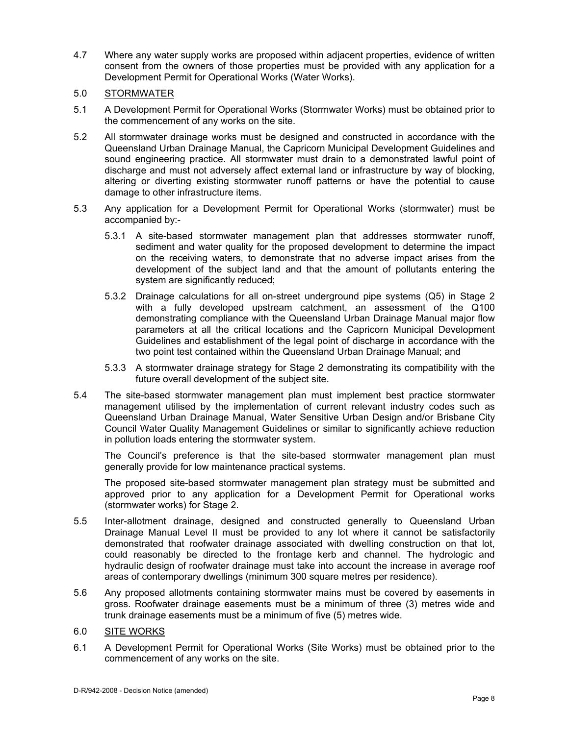- 4.7 Where any water supply works are proposed within adjacent properties, evidence of written consent from the owners of those properties must be provided with any application for a Development Permit for Operational Works (Water Works).
- 5.0 STORMWATER
- 5.1 A Development Permit for Operational Works (Stormwater Works) must be obtained prior to the commencement of any works on the site.
- 5.2 All stormwater drainage works must be designed and constructed in accordance with the Queensland Urban Drainage Manual, the Capricorn Municipal Development Guidelines and sound engineering practice. All stormwater must drain to a demonstrated lawful point of discharge and must not adversely affect external land or infrastructure by way of blocking, altering or diverting existing stormwater runoff patterns or have the potential to cause damage to other infrastructure items.
- 5.3 Any application for a Development Permit for Operational Works (stormwater) must be accompanied by:-
	- 5.3.1 A site-based stormwater management plan that addresses stormwater runoff, sediment and water quality for the proposed development to determine the impact on the receiving waters, to demonstrate that no adverse impact arises from the development of the subject land and that the amount of pollutants entering the system are significantly reduced;
	- 5.3.2 Drainage calculations for all on-street underground pipe systems (Q5) in Stage 2 with a fully developed upstream catchment, an assessment of the Q100 demonstrating compliance with the Queensland Urban Drainage Manual major flow parameters at all the critical locations and the Capricorn Municipal Development Guidelines and establishment of the legal point of discharge in accordance with the two point test contained within the Queensland Urban Drainage Manual; and
	- 5.3.3 A stormwater drainage strategy for Stage 2 demonstrating its compatibility with the future overall development of the subject site.
- 5.4 The site-based stormwater management plan must implement best practice stormwater management utilised by the implementation of current relevant industry codes such as Queensland Urban Drainage Manual, Water Sensitive Urban Design and/or Brisbane City Council Water Quality Management Guidelines or similar to significantly achieve reduction in pollution loads entering the stormwater system.

The Council's preference is that the site-based stormwater management plan must generally provide for low maintenance practical systems.

The proposed site-based stormwater management plan strategy must be submitted and approved prior to any application for a Development Permit for Operational works (stormwater works) for Stage 2.

- 5.5 Inter-allotment drainage, designed and constructed generally to Queensland Urban Drainage Manual Level II must be provided to any lot where it cannot be satisfactorily demonstrated that roofwater drainage associated with dwelling construction on that lot, could reasonably be directed to the frontage kerb and channel. The hydrologic and hydraulic design of roofwater drainage must take into account the increase in average roof areas of contemporary dwellings (minimum 300 square metres per residence).
- 5.6 Any proposed allotments containing stormwater mains must be covered by easements in gross. Roofwater drainage easements must be a minimum of three (3) metres wide and trunk drainage easements must be a minimum of five (5) metres wide.
- 6.0 SITE WORKS
- 6.1 A Development Permit for Operational Works (Site Works) must be obtained prior to the commencement of any works on the site.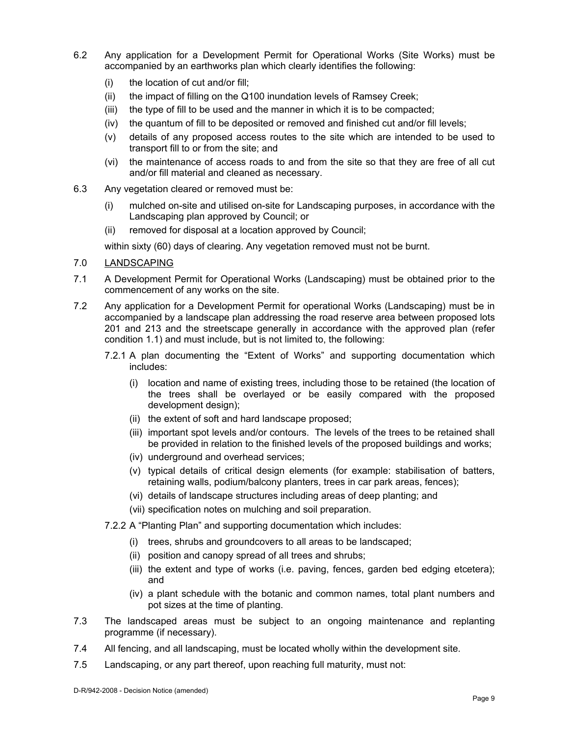- 6.2 Any application for a Development Permit for Operational Works (Site Works) must be accompanied by an earthworks plan which clearly identifies the following:
	- (i) the location of cut and/or fill;
	- (ii) the impact of filling on the Q100 inundation levels of Ramsey Creek;
	- (iii) the type of fill to be used and the manner in which it is to be compacted;
	- (iv) the quantum of fill to be deposited or removed and finished cut and/or fill levels;
	- (v) details of any proposed access routes to the site which are intended to be used to transport fill to or from the site; and
	- (vi) the maintenance of access roads to and from the site so that they are free of all cut and/or fill material and cleaned as necessary.
- 6.3 Any vegetation cleared or removed must be:
	- (i) mulched on-site and utilised on-site for Landscaping purposes, in accordance with the Landscaping plan approved by Council; or
	- (ii) removed for disposal at a location approved by Council;

within sixty (60) days of clearing. Any vegetation removed must not be burnt.

- 7.0 LANDSCAPING
- 7.1 A Development Permit for Operational Works (Landscaping) must be obtained prior to the commencement of any works on the site.
- 7.2 Any application for a Development Permit for operational Works (Landscaping) must be in accompanied by a landscape plan addressing the road reserve area between proposed lots 201 and 213 and the streetscape generally in accordance with the approved plan (refer condition 1.1) and must include, but is not limited to, the following:
	- 7.2.1 A plan documenting the "Extent of Works" and supporting documentation which includes:
		- (i) location and name of existing trees, including those to be retained (the location of the trees shall be overlayed or be easily compared with the proposed development design);
		- (ii) the extent of soft and hard landscape proposed;
		- (iii) important spot levels and/or contours. The levels of the trees to be retained shall be provided in relation to the finished levels of the proposed buildings and works;
		- (iv) underground and overhead services;
		- (v) typical details of critical design elements (for example: stabilisation of batters, retaining walls, podium/balcony planters, trees in car park areas, fences);
		- (vi) details of landscape structures including areas of deep planting; and
		- (vii) specification notes on mulching and soil preparation.
	- 7.2.2 A "Planting Plan" and supporting documentation which includes:
		- (i) trees, shrubs and groundcovers to all areas to be landscaped;
		- (ii) position and canopy spread of all trees and shrubs;
		- (iii) the extent and type of works (i.e. paving, fences, garden bed edging etcetera); and
		- (iv) a plant schedule with the botanic and common names, total plant numbers and pot sizes at the time of planting.
- 7.3 The landscaped areas must be subject to an ongoing maintenance and replanting programme (if necessary).
- 7.4 All fencing, and all landscaping, must be located wholly within the development site.
- 7.5 Landscaping, or any part thereof, upon reaching full maturity, must not: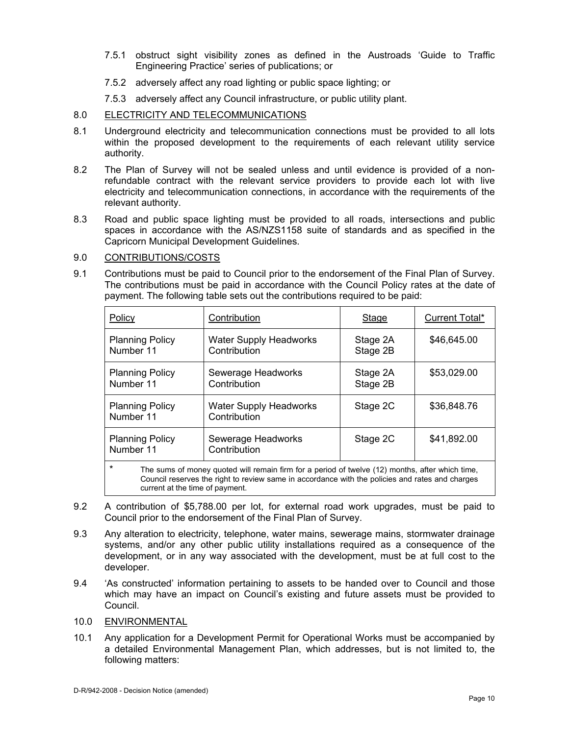- 7.5.1 obstruct sight visibility zones as defined in the Austroads 'Guide to Traffic Engineering Practice' series of publications; or
- 7.5.2 adversely affect any road lighting or public space lighting; or
- 7.5.3 adversely affect any Council infrastructure, or public utility plant.

# 8.0 ELECTRICITY AND TELECOMMUNICATIONS

- 8.1 Underground electricity and telecommunication connections must be provided to all lots within the proposed development to the requirements of each relevant utility service authority.
- 8.2 The Plan of Survey will not be sealed unless and until evidence is provided of a nonrefundable contract with the relevant service providers to provide each lot with live electricity and telecommunication connections, in accordance with the requirements of the relevant authority.
- 8.3 Road and public space lighting must be provided to all roads, intersections and public spaces in accordance with the AS/NZS1158 suite of standards and as specified in the Capricorn Municipal Development Guidelines.

# 9.0 CONTRIBUTIONS/COSTS

9.1 Contributions must be paid to Council prior to the endorsement of the Final Plan of Survey. The contributions must be paid in accordance with the Council Policy rates at the date of payment. The following table sets out the contributions required to be paid:

| Policy                                                                                                                                                                                                        | Contribution                                  | <b>Stage</b>         | Current Total* |
|---------------------------------------------------------------------------------------------------------------------------------------------------------------------------------------------------------------|-----------------------------------------------|----------------------|----------------|
| <b>Planning Policy</b><br>Number 11                                                                                                                                                                           | <b>Water Supply Headworks</b><br>Contribution | Stage 2A<br>Stage 2B | \$46,645.00    |
| <b>Planning Policy</b><br>Number 11                                                                                                                                                                           | Sewerage Headworks<br>Contribution            | Stage 2A<br>Stage 2B | \$53,029.00    |
| <b>Planning Policy</b><br>Number 11                                                                                                                                                                           | <b>Water Supply Headworks</b><br>Contribution | Stage 2C             | \$36,848.76    |
| <b>Planning Policy</b><br>Number 11                                                                                                                                                                           | Sewerage Headworks<br>Contribution            | Stage 2C             | \$41,892.00    |
| $\star$<br>The sums of money quoted will remain firm for a period of twelve (12) months, after which time,<br>Council reserves the right to review same in accordance with the policies and rates and charges |                                               |                      |                |

same in accordance with the policies and rates and charges current at the time of payment.

- 9.2 A contribution of \$5,788.00 per lot, for external road work upgrades, must be paid to Council prior to the endorsement of the Final Plan of Survey.
- 9.3 Any alteration to electricity, telephone, water mains, sewerage mains, stormwater drainage systems, and/or any other public utility installations required as a consequence of the development, or in any way associated with the development, must be at full cost to the developer.
- 9.4 'As constructed' information pertaining to assets to be handed over to Council and those which may have an impact on Council's existing and future assets must be provided to Council.
- 10.0 ENVIRONMENTAL
- 10.1 Any application for a Development Permit for Operational Works must be accompanied by a detailed Environmental Management Plan, which addresses, but is not limited to, the following matters: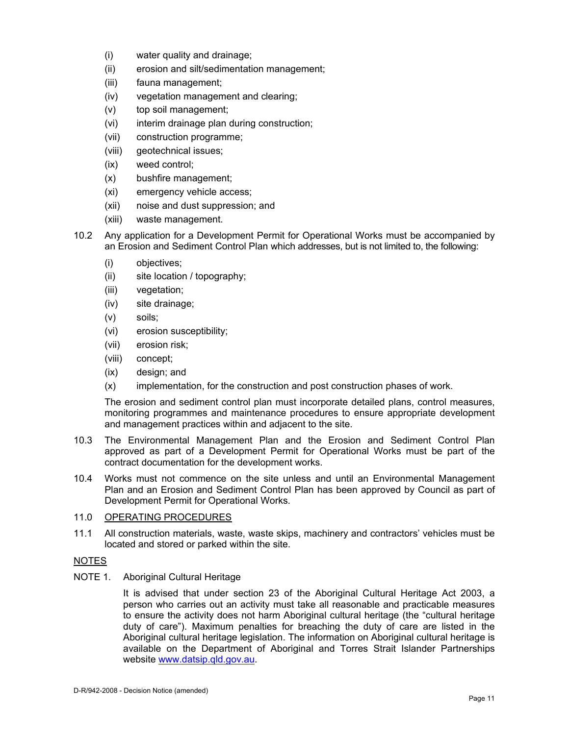- (i) water quality and drainage;
- (ii) erosion and silt/sedimentation management;
- (iii) fauna management;
- (iv) vegetation management and clearing;
- (v) top soil management;
- (vi) interim drainage plan during construction;
- (vii) construction programme;
- (viii) geotechnical issues;
- (ix) weed control;
- (x) bushfire management;
- (xi) emergency vehicle access;
- (xii) noise and dust suppression; and
- (xiii) waste management.
- 10.2 Any application for a Development Permit for Operational Works must be accompanied by an Erosion and Sediment Control Plan which addresses, but is not limited to, the following:
	- (i) objectives;
	- (ii) site location / topography;
	- (iii) vegetation;
	- (iv) site drainage;
	- (v) soils;
	- (vi) erosion susceptibility;
	- (vii) erosion risk;
	- (viii) concept;
	- (ix) design; and
	- (x) implementation, for the construction and post construction phases of work.

The erosion and sediment control plan must incorporate detailed plans, control measures, monitoring programmes and maintenance procedures to ensure appropriate development and management practices within and adjacent to the site.

- 10.3 The Environmental Management Plan and the Erosion and Sediment Control Plan approved as part of a Development Permit for Operational Works must be part of the contract documentation for the development works.
- 10.4 Works must not commence on the site unless and until an Environmental Management Plan and an Erosion and Sediment Control Plan has been approved by Council as part of Development Permit for Operational Works.

# 11.0 OPERATING PROCEDURES

11.1 All construction materials, waste, waste skips, machinery and contractors' vehicles must be located and stored or parked within the site.

# NOTES

NOTE 1. Aboriginal Cultural Heritage

It is advised that under section 23 of the Aboriginal Cultural Heritage Act 2003, a person who carries out an activity must take all reasonable and practicable measures to ensure the activity does not harm Aboriginal cultural heritage (the "cultural heritage duty of care"). Maximum penalties for breaching the duty of care are listed in the Aboriginal cultural heritage legislation. The information on Aboriginal cultural heritage is available on the Department of Aboriginal and Torres Strait Islander Partnerships website www.datsip.qld.gov.au.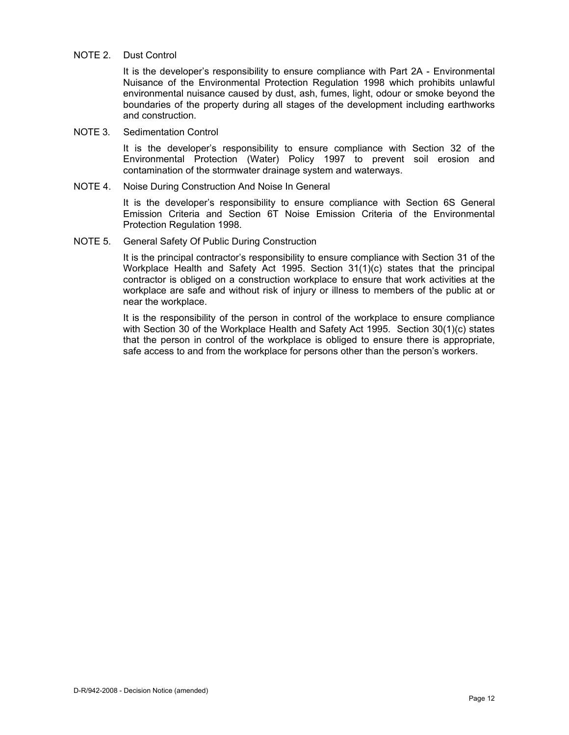#### NOTE 2. Dust Control

It is the developer's responsibility to ensure compliance with Part 2A - Environmental Nuisance of the Environmental Protection Regulation 1998 which prohibits unlawful environmental nuisance caused by dust, ash, fumes, light, odour or smoke beyond the boundaries of the property during all stages of the development including earthworks and construction.

#### NOTE 3. Sedimentation Control

It is the developer's responsibility to ensure compliance with Section 32 of the Environmental Protection (Water) Policy 1997 to prevent soil erosion and contamination of the stormwater drainage system and waterways.

### NOTE 4. Noise During Construction And Noise In General

It is the developer's responsibility to ensure compliance with Section 6S General Emission Criteria and Section 6T Noise Emission Criteria of the Environmental Protection Regulation 1998.

# NOTE 5. General Safety Of Public During Construction

It is the principal contractor's responsibility to ensure compliance with Section 31 of the Workplace Health and Safety Act 1995. Section 31(1)(c) states that the principal contractor is obliged on a construction workplace to ensure that work activities at the workplace are safe and without risk of injury or illness to members of the public at or near the workplace.

It is the responsibility of the person in control of the workplace to ensure compliance with Section 30 of the Workplace Health and Safety Act 1995. Section 30(1)(c) states that the person in control of the workplace is obliged to ensure there is appropriate, safe access to and from the workplace for persons other than the person's workers.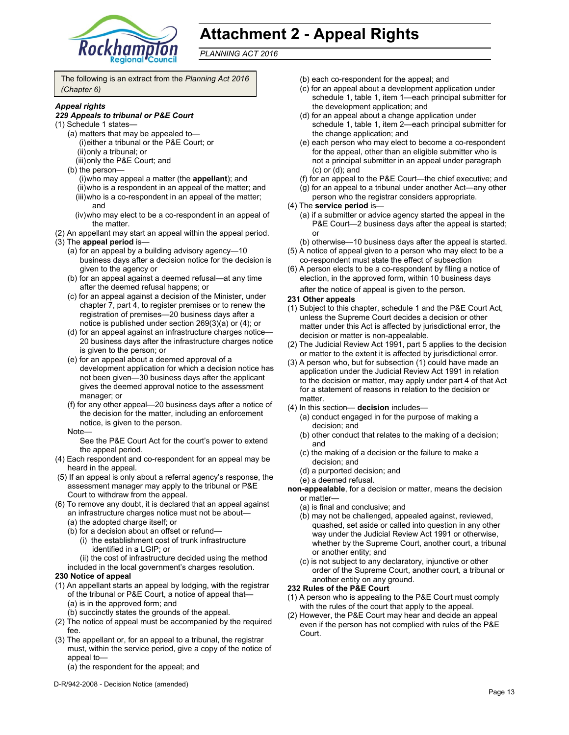

# **Attachment 2 - Appeal Rights**

*PLANNING ACT 2016*

The following is an extract from the *Planning Act 2016 (Chapter 6)*

#### *Appeal rights*

#### *229 Appeals to tribunal or P&E Court*

- (1) Schedule 1 states—
	- (a) matters that may be appealed to— (i) either a tribunal or the P&E Court; or (ii) only a tribunal; or
		- (iii) only the P&E Court; and
	- (b) the person—
		- (i) who may appeal a matter (the **appellant**); and (ii) who is a respondent in an appeal of the matter; and (iii) who is a co-respondent in an appeal of the matter; and
		- (iv) who may elect to be a co-respondent in an appeal of the matter.
- (2) An appellant may start an appeal within the appeal period.
- (3) The **appeal period** is—
	- (a) for an appeal by a building advisory agency—10 business days after a decision notice for the decision is given to the agency or
	- (b) for an appeal against a deemed refusal—at any time after the deemed refusal happens; or
	- (c) for an appeal against a decision of the Minister, under chapter 7, part 4, to register premises or to renew the registration of premises—20 business days after a notice is published under section 269(3)(a) or (4); or
	- (d) for an appeal against an infrastructure charges notice— 20 business days after the infrastructure charges notice is given to the person; or
	- (e) for an appeal about a deemed approval of a development application for which a decision notice has not been given—30 business days after the applicant gives the deemed approval notice to the assessment manager; or
	- (f) for any other appeal—20 business days after a notice of the decision for the matter, including an enforcement notice, is given to the person.
	- Note—
		- See the P&E Court Act for the court's power to extend the appeal period.
- (4) Each respondent and co-respondent for an appeal may be heard in the appeal.
- (5) If an appeal is only about a referral agency's response, the assessment manager may apply to the tribunal or P&E Court to withdraw from the appeal.
- (6) To remove any doubt, it is declared that an appeal against an infrastructure charges notice must not be about—
	- (a) the adopted charge itself; or
	- (b) for a decision about an offset or refund—
		- (i) the establishment cost of trunk infrastructure identified in a LGIP; or
	- (ii) the cost of infrastructure decided using the method included in the local government's charges resolution.

#### **230 Notice of appeal**

- (1) An appellant starts an appeal by lodging, with the registrar of the tribunal or P&E Court, a notice of appeal that— (a) is in the approved form; and
	- (b) succinctly states the grounds of the appeal.
- (2) The notice of appeal must be accompanied by the required fee.
- (3) The appellant or, for an appeal to a tribunal, the registrar must, within the service period, give a copy of the notice of appeal to—
	- (a) the respondent for the appeal; and
- D-R/942-2008 Decision Notice (amended)
- (b) each co-respondent for the appeal; and
- (c) for an appeal about a development application under schedule 1, table 1, item 1—each principal submitter for the development application; and
- (d) for an appeal about a change application under schedule 1, table 1, item 2—each principal submitter for the change application; and
- (e) each person who may elect to become a co-respondent for the appeal, other than an eligible submitter who is not a principal submitter in an appeal under paragraph (c) or (d); and
- (f) for an appeal to the P&E Court—the chief executive; and
- (g) for an appeal to a tribunal under another Act—any other person who the registrar considers appropriate.
- (4) The **service period** is—
	- (a) if a submitter or advice agency started the appeal in the P&E Court—2 business days after the appeal is started; or
	- (b) otherwise—10 business days after the appeal is started.
- (5) A notice of appeal given to a person who may elect to be a co-respondent must state the effect of subsection
- (6) A person elects to be a co-respondent by filing a notice of election, in the approved form, within 10 business days after the notice of appeal is given to the person*.*

#### **231 Other appeals**

- (1) Subject to this chapter, schedule 1 and the P&E Court Act, unless the Supreme Court decides a decision or other matter under this Act is affected by jurisdictional error, the decision or matter is non-appealable.
- (2) The Judicial Review Act 1991, part 5 applies to the decision or matter to the extent it is affected by jurisdictional error.
- (3) A person who, but for subsection (1) could have made an application under the Judicial Review Act 1991 in relation to the decision or matter, may apply under part 4 of that Act for a statement of reasons in relation to the decision or matter.
- (4) In this section— **decision** includes—
	- (a) conduct engaged in for the purpose of making a decision; and
	- (b) other conduct that relates to the making of a decision; and
	- (c) the making of a decision or the failure to make a decision; and
	- (d) a purported decision; and
	- (e) a deemed refusal.

**non-appealable**, for a decision or matter, means the decision or matter—

- (a) is final and conclusive; and
- (b) may not be challenged, appealed against, reviewed, quashed, set aside or called into question in any other way under the Judicial Review Act 1991 or otherwise, whether by the Supreme Court, another court, a tribunal or another entity; and
- (c) is not subject to any declaratory, injunctive or other order of the Supreme Court, another court, a tribunal or another entity on any ground.

#### **232 Rules of the P&E Court**

- (1) A person who is appealing to the P&E Court must comply with the rules of the court that apply to the appeal.
- (2) However, the P&E Court may hear and decide an appeal even if the person has not complied with rules of the P&E Court.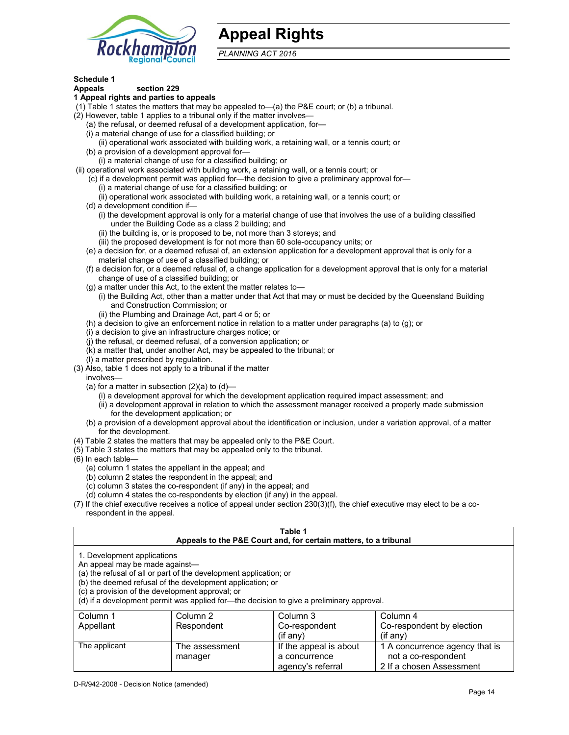

# **Appeal Rights**

*PLANNING ACT 2016*

# **Schedule 1**

#### **Appeals section 229 1 Appeal rights and parties to appeals**

- (1) Table 1 states the matters that may be appealed to—(a) the P&E court; or (b) a tribunal.
- (2) However, table 1 applies to a tribunal only if the matter involves—
	- (a) the refusal, or deemed refusal of a development application, for—
	- (i) a material change of use for a classified building; or
	- (ii) operational work associated with building work, a retaining wall, or a tennis court; or
	- (b) a provision of a development approval for—
	- (i) a material change of use for a classified building; or
- (ii) operational work associated with building work, a retaining wall, or a tennis court; or
	- (c) if a development permit was applied for—the decision to give a preliminary approval for—
		- (i) a material change of use for a classified building; or
		- (ii) operational work associated with building work, a retaining wall, or a tennis court; or
	- (d) a development condition if—
		- (i) the development approval is only for a material change of use that involves the use of a building classified under the Building Code as a class 2 building; and
		- (ii) the building is, or is proposed to be, not more than 3 storeys; and
		- (iii) the proposed development is for not more than 60 sole-occupancy units; or
	- (e) a decision for, or a deemed refusal of, an extension application for a development approval that is only for a material change of use of a classified building; or
	- (f) a decision for, or a deemed refusal of, a change application for a development approval that is only for a material change of use of a classified building; or
	- (g) a matter under this Act, to the extent the matter relates to—
		- (i) the Building Act, other than a matter under that Act that may or must be decided by the Queensland Building and Construction Commission; or
		- (ii) the Plumbing and Drainage Act, part 4 or 5; or
	- (h) a decision to give an enforcement notice in relation to a matter under paragraphs (a) to (g); or
	- (i) a decision to give an infrastructure charges notice; or
	- (j) the refusal, or deemed refusal, of a conversion application; or
	- (k) a matter that, under another Act, may be appealed to the tribunal; or
	- (l) a matter prescribed by regulation.
- (3) Also, table 1 does not apply to a tribunal if the matter
- involves—
	- (a) for a matter in subsection  $(2)(a)$  to  $(d)$ 
		- (i) a development approval for which the development application required impact assessment; and
		- (ii) a development approval in relation to which the assessment manager received a properly made submission for the development application; or
	- (b) a provision of a development approval about the identification or inclusion, under a variation approval, of a matter for the development.
- (4) Table 2 states the matters that may be appealed only to the P&E Court.
- (5) Table 3 states the matters that may be appealed only to the tribunal.
- (6) In each table—
	- (a) column 1 states the appellant in the appeal; and
	- (b) column 2 states the respondent in the appeal; and
	- (c) column 3 states the co-respondent (if any) in the appeal; and

manager

- (d) column 4 states the co-respondents by election (if any) in the appeal.
- (7) If the chief executive receives a notice of appeal under section 230(3)(f), the chief executive may elect to be a corespondent in the appeal.

| Table 1<br>Appeals to the P&E Court and, for certain matters, to a tribunal                                                                                                                                                                                                                                                                    |  |  |  |  |
|------------------------------------------------------------------------------------------------------------------------------------------------------------------------------------------------------------------------------------------------------------------------------------------------------------------------------------------------|--|--|--|--|
| 1. Development applications<br>An appeal may be made against-<br>(a) the refusal of all or part of the development application; or<br>(b) the deemed refusal of the development application; or<br>(c) a provision of the development approval; or<br>(d) if a development permit was applied for—the decision to give a preliminary approval. |  |  |  |  |
| Column 2<br>Column 3<br>Column 4<br>Column 1<br>Co-respondent by election<br>Appellant<br>Respondent<br>Co-respondent<br>(if any)<br>$($ if any $)$                                                                                                                                                                                            |  |  |  |  |
| If the appeal is about<br>The applicant<br>1 A concurrence agency that is<br>The assessment                                                                                                                                                                                                                                                    |  |  |  |  |

a concurrence agency's referral

not a co-respondent 2 If a chosen Assessment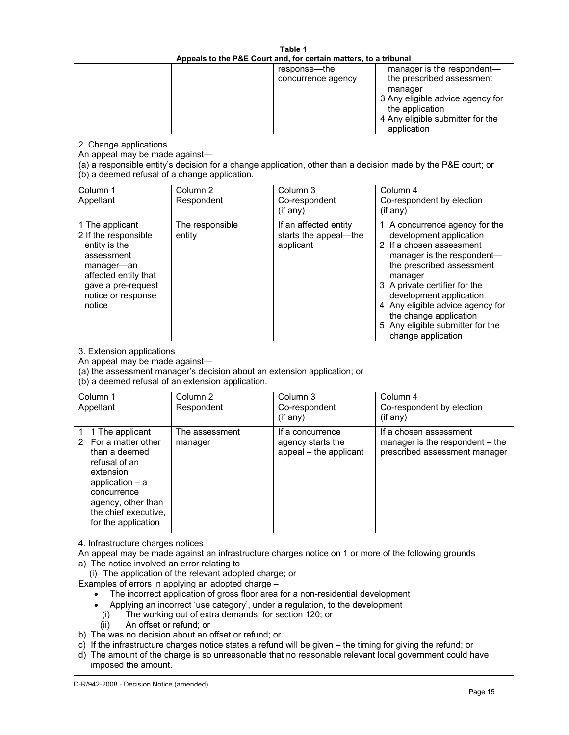| Table 1<br>Appeals to the P&E Court and, for certain matters, to a tribunal                                                                                                                                                                                                                                                                                                                                                                                                                                                                                                                                                                                                                                                                                                                                                                                                               |                                   |                                                                 |                                                                                                                                                                                                                                                                                                                                                 |  |
|-------------------------------------------------------------------------------------------------------------------------------------------------------------------------------------------------------------------------------------------------------------------------------------------------------------------------------------------------------------------------------------------------------------------------------------------------------------------------------------------------------------------------------------------------------------------------------------------------------------------------------------------------------------------------------------------------------------------------------------------------------------------------------------------------------------------------------------------------------------------------------------------|-----------------------------------|-----------------------------------------------------------------|-------------------------------------------------------------------------------------------------------------------------------------------------------------------------------------------------------------------------------------------------------------------------------------------------------------------------------------------------|--|
|                                                                                                                                                                                                                                                                                                                                                                                                                                                                                                                                                                                                                                                                                                                                                                                                                                                                                           |                                   | response-the<br>concurrence agency                              | manager is the respondent-<br>the prescribed assessment<br>manager<br>3 Any eligible advice agency for<br>the application<br>4 Any eligible submitter for the<br>application                                                                                                                                                                    |  |
| 2. Change applications<br>An appeal may be made against-<br>(b) a deemed refusal of a change application.                                                                                                                                                                                                                                                                                                                                                                                                                                                                                                                                                                                                                                                                                                                                                                                 |                                   |                                                                 | (a) a responsible entity's decision for a change application, other than a decision made by the P&E court; or                                                                                                                                                                                                                                   |  |
| Column 1<br>Appellant                                                                                                                                                                                                                                                                                                                                                                                                                                                                                                                                                                                                                                                                                                                                                                                                                                                                     | Column <sub>2</sub><br>Respondent | Column 3<br>Co-respondent<br>(if any)                           | Column 4<br>Co-respondent by election<br>(if any)                                                                                                                                                                                                                                                                                               |  |
| 1 The applicant<br>2 If the responsible<br>entity is the<br>assessment<br>manager-an<br>affected entity that<br>gave a pre-request<br>notice or response<br>notice                                                                                                                                                                                                                                                                                                                                                                                                                                                                                                                                                                                                                                                                                                                        | The responsible<br>entity         | If an affected entity<br>starts the appeal-the<br>applicant     | 1 A concurrence agency for the<br>development application<br>2 If a chosen assessment<br>manager is the respondent-<br>the prescribed assessment<br>manager<br>3 A private certifier for the<br>development application<br>4 Any eligible advice agency for<br>the change application<br>5 Any eligible submitter for the<br>change application |  |
| 3. Extension applications<br>An appeal may be made against-<br>(a) the assessment manager's decision about an extension application; or<br>(b) a deemed refusal of an extension application.                                                                                                                                                                                                                                                                                                                                                                                                                                                                                                                                                                                                                                                                                              |                                   |                                                                 |                                                                                                                                                                                                                                                                                                                                                 |  |
| Column 1<br>Appellant                                                                                                                                                                                                                                                                                                                                                                                                                                                                                                                                                                                                                                                                                                                                                                                                                                                                     | Column <sub>2</sub><br>Respondent | Column 3<br>Co-respondent<br>(if any)                           | Column 4<br>Co-respondent by election<br>(if any)                                                                                                                                                                                                                                                                                               |  |
| 1 The applicant<br>1<br>2 For a matter other<br>than a deemed<br>refusal of an<br>extension<br>application $-$ a<br>concurrence<br>agency, other than<br>the chief executive,<br>for the application                                                                                                                                                                                                                                                                                                                                                                                                                                                                                                                                                                                                                                                                                      | The assessment<br>manager         | If a concurrence<br>agency starts the<br>appeal - the applicant | If a chosen assessment<br>manager is the respondent - the<br>prescribed assessment manager                                                                                                                                                                                                                                                      |  |
| 4. Infrastructure charges notices<br>An appeal may be made against an infrastructure charges notice on 1 or more of the following grounds<br>a) The notice involved an error relating to -<br>(i) The application of the relevant adopted charge; or<br>Examples of errors in applying an adopted charge -<br>The incorrect application of gross floor area for a non-residential development<br>Applying an incorrect 'use category', under a regulation, to the development<br>The working out of extra demands, for section 120; or<br>(1)<br>An offset or refund; or<br>(ii)<br>b) The was no decision about an offset or refund; or<br>c) If the infrastructure charges notice states a refund will be given - the timing for giving the refund; or<br>d) The amount of the charge is so unreasonable that no reasonable relevant local government could have<br>imposed the amount. |                                   |                                                                 |                                                                                                                                                                                                                                                                                                                                                 |  |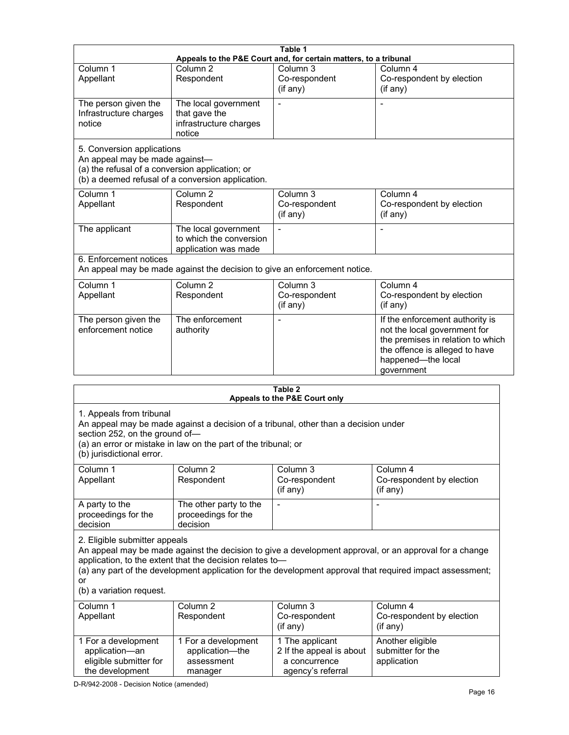|                                                                                                                  |                                                                                                                                                                                            | Table 1<br>Appeals to the P&E Court and, for certain matters, to a tribunal  |                                                                                                                                                                                                                                                              |
|------------------------------------------------------------------------------------------------------------------|--------------------------------------------------------------------------------------------------------------------------------------------------------------------------------------------|------------------------------------------------------------------------------|--------------------------------------------------------------------------------------------------------------------------------------------------------------------------------------------------------------------------------------------------------------|
| Column 1<br>Appellant                                                                                            | Column <sub>2</sub><br>Respondent                                                                                                                                                          | Column <sub>3</sub><br>Co-respondent<br>(if any)                             | Column 4<br>Co-respondent by election<br>(if any)                                                                                                                                                                                                            |
| The person given the<br>Infrastructure charges<br>notice                                                         | The local government<br>that gave the<br>infrastructure charges<br>notice                                                                                                                  |                                                                              |                                                                                                                                                                                                                                                              |
| 5. Conversion applications<br>An appeal may be made against-<br>(a) the refusal of a conversion application; or  | (b) a deemed refusal of a conversion application.                                                                                                                                          |                                                                              |                                                                                                                                                                                                                                                              |
| Column 1<br>Appellant                                                                                            | Column <sub>2</sub><br>Respondent                                                                                                                                                          | Column 3<br>Co-respondent<br>(if any)                                        | Column 4<br>Co-respondent by election<br>(if any)                                                                                                                                                                                                            |
| The applicant                                                                                                    | The local government<br>to which the conversion<br>application was made                                                                                                                    |                                                                              | $\overline{a}$                                                                                                                                                                                                                                               |
| 6. Enforcement notices                                                                                           | An appeal may be made against the decision to give an enforcement notice.                                                                                                                  |                                                                              |                                                                                                                                                                                                                                                              |
| Column 1<br>Appellant                                                                                            | Column $\overline{2}$<br>Respondent                                                                                                                                                        | Column 3<br>Co-respondent<br>(if any)                                        | Column 4<br>Co-respondent by election<br>(if any)                                                                                                                                                                                                            |
| The person given the<br>enforcement notice                                                                       | The enforcement<br>authority                                                                                                                                                               |                                                                              | If the enforcement authority is<br>not the local government for<br>the premises in relation to which<br>the offence is alleged to have<br>happened-the local<br>government                                                                                   |
|                                                                                                                  |                                                                                                                                                                                            | Table 2                                                                      |                                                                                                                                                                                                                                                              |
| 1. Appeals from tribunal<br>section 252, on the ground of-<br>(b) jurisdictional error.<br>Column 1<br>Appellant | An appeal may be made against a decision of a tribunal, other than a decision under<br>(a) an error or mistake in law on the part of the tribunal; or<br>Column <sub>2</sub><br>Respondent | Appeals to the P&E Court only<br>Column 3<br>Co-respondent<br>$($ if any $)$ | Column 4<br>Co-respondent by election<br>$($ if any $)$                                                                                                                                                                                                      |
| A party to the<br>proceedings for the<br>decision                                                                | The other party to the<br>proceedings for the<br>decision                                                                                                                                  |                                                                              |                                                                                                                                                                                                                                                              |
| 2. Eligible submitter appeals<br>or<br>(b) a variation request.<br>Column 1<br>Appellant                         | application, to the extent that the decision relates to-<br>Column <sub>2</sub><br>Respondent                                                                                              | Column 3<br>Co-respondent                                                    | An appeal may be made against the decision to give a development approval, or an approval for a change<br>(a) any part of the development application for the development approval that required impact assessment;<br>Column 4<br>Co-respondent by election |
| 1 For a development<br>application-an<br>eligible submitter for                                                  | 1 For a development<br>application-the<br>assessment                                                                                                                                       | (if any)<br>1 The applicant<br>2 If the appeal is about<br>a concurrence     | (if any)<br>Another eligible<br>submitter for the<br>application                                                                                                                                                                                             |

agency's referral

D-R/942-2008 - Decision Notice (amended)

manager

the development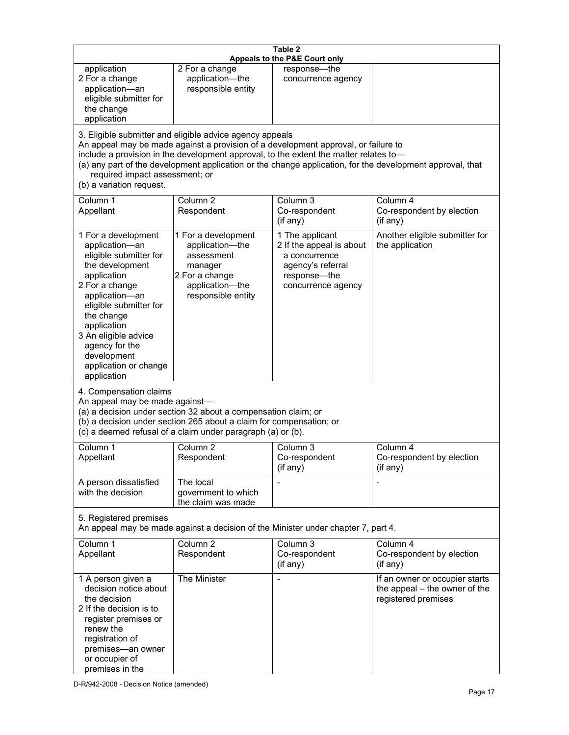| Table 2<br>Appeals to the P&E Court only                                                                                                                                                                                                                                                                                                                                                                           |                                                                                                                            |                                                                                                                         |                                                                                        |  |
|--------------------------------------------------------------------------------------------------------------------------------------------------------------------------------------------------------------------------------------------------------------------------------------------------------------------------------------------------------------------------------------------------------------------|----------------------------------------------------------------------------------------------------------------------------|-------------------------------------------------------------------------------------------------------------------------|----------------------------------------------------------------------------------------|--|
| application<br>2 For a change<br>application-an<br>eligible submitter for<br>the change<br>application                                                                                                                                                                                                                                                                                                             | 2 For a change<br>application-the<br>responsible entity                                                                    | response-the<br>concurrence agency                                                                                      |                                                                                        |  |
| 3. Eligible submitter and eligible advice agency appeals<br>An appeal may be made against a provision of a development approval, or failure to<br>include a provision in the development approval, to the extent the matter relates to-<br>(a) any part of the development application or the change application, for the development approval, that<br>required impact assessment; or<br>(b) a variation request. |                                                                                                                            |                                                                                                                         |                                                                                        |  |
| Column 1<br>Appellant                                                                                                                                                                                                                                                                                                                                                                                              | Column <sub>2</sub><br>Respondent                                                                                          | Column <sub>3</sub><br>Co-respondent<br>(if any)                                                                        | Column 4<br>Co-respondent by election<br>(if any)                                      |  |
| 1 For a development<br>application-an<br>eligible submitter for<br>the development<br>application<br>2 For a change<br>application-an<br>eligible submitter for<br>the change<br>application<br>3 An eligible advice<br>agency for the<br>development<br>application or change<br>application                                                                                                                      | 1 For a development<br>application-the<br>assessment<br>manager<br>2 For a change<br>application-the<br>responsible entity | 1 The applicant<br>2 If the appeal is about<br>a concurrence<br>agency's referral<br>response-the<br>concurrence agency | Another eligible submitter for<br>the application                                      |  |
| 4. Compensation claims<br>An appeal may be made against-<br>(a) a decision under section 32 about a compensation claim; or<br>(b) a decision under section 265 about a claim for compensation; or<br>(c) a deemed refusal of a claim under paragraph (a) or (b).                                                                                                                                                   |                                                                                                                            |                                                                                                                         |                                                                                        |  |
| Column 1<br>Appellant                                                                                                                                                                                                                                                                                                                                                                                              | Column <sub>2</sub><br>Respondent                                                                                          | Column 3<br>Co-respondent<br>(if any)                                                                                   | Column 4<br>Co-respondent by election<br>(if any)                                      |  |
| A person dissatisfied<br>with the decision                                                                                                                                                                                                                                                                                                                                                                         | The local<br>government to which<br>the claim was made                                                                     | $\blacksquare$                                                                                                          |                                                                                        |  |
| 5. Registered premises                                                                                                                                                                                                                                                                                                                                                                                             |                                                                                                                            | An appeal may be made against a decision of the Minister under chapter 7, part 4.                                       |                                                                                        |  |
| Column 1<br>Appellant                                                                                                                                                                                                                                                                                                                                                                                              | Column <sub>2</sub><br>Respondent                                                                                          | Column 3<br>Co-respondent<br>(if any)                                                                                   | Column 4<br>Co-respondent by election<br>(if any)                                      |  |
| 1 A person given a<br>decision notice about<br>the decision<br>2 If the decision is to<br>register premises or<br>renew the<br>registration of<br>premises-an owner<br>or occupier of<br>premises in the                                                                                                                                                                                                           | The Minister                                                                                                               |                                                                                                                         | If an owner or occupier starts<br>the appeal – the owner of the<br>registered premises |  |

D-R/942-2008 - Decision Notice (amended)